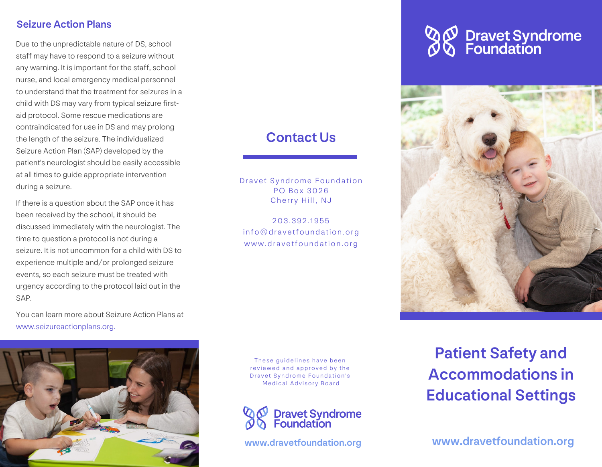#### Seizure Action Plans

Due to the unpredictable nature of DS, school staff may have to respond to a seizure without any warning. It is important for the staff, school nurse, and local emergency medical personnel to understand that the treatment for seizures in a child with DS may vary from typical seizure firstaid protocol. Some rescue medications are contraindicated for use in DS and may prolong the length of the seizure. The individualized Seizure Action Plan (SAP) developed by the patient's neurologist should be easily accessible at all times to guide appropriate intervention during a seizure.

If there is a question about the SAP once it has been received by the school, it should be discussed immediately with the neurologist. The time to question a protocol is not during a seizure. It is not uncommon for a child with DS to experience multiple and/or prolonged seizure events, so each seizure must be treated with urgency according to the protocol laid out in the SAP.

You can learn more about Seizure Action Plans at www.seizureactionplans.org.



## Contact Us

Dravet Syndrome Foundation PO Box 3026 Cherry Hill, NJ

203.392.1955 info@dravetfoundation.org www.dravetfoundation.org

These guidelines have been reviewed and approved by the Dravet Syndrome Foundation's Medical Advisory Board



# **Dravet Syndrome**<br>Foundation



Patient Safety and Accommodations in Educational Settings

www.dravetfoundation.org www.dravetfoundation.org